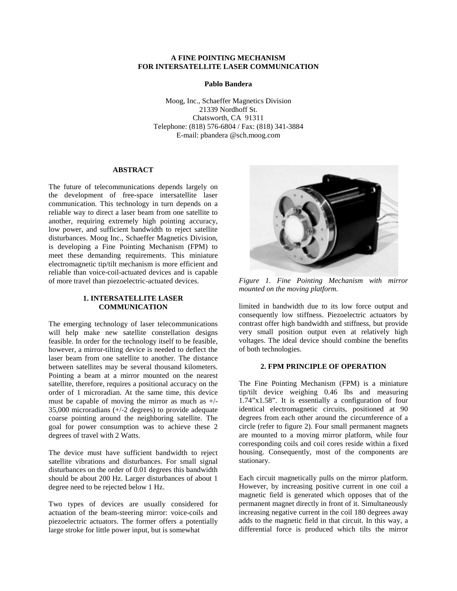# **A FINE POINTING MECHANISM FOR INTERSATELLITE LASER COMMUNICATION**

#### **Pablo Bandera**

Moog, Inc., Schaeffer Magnetics Division 21339 Nordhoff St. Chatsworth, CA 91311 Telephone: (818) 576-6804 / Fax: (818) 341-3884 E-mail: pbandera @sch.moog.com

### **ABSTRACT**

The future of telecommunications depends largely on the development of free-space intersatellite laser communication. This technology in turn depends on a reliable way to direct a laser beam from one satellite to another, requiring extremely high pointing accuracy, low power, and sufficient bandwidth to reject satellite disturbances. Moog Inc., Schaeffer Magnetics Division, is developing a Fine Pointing Mechanism (FPM) to meet these demanding requirements. This miniature electromagnetic tip/tilt mechanism is more efficient and reliable than voice-coil-actuated devices and is capable of more travel than piezoelectric-actuated devices.

# **1. INTERSATELLITE LASER COMMUNICATION**

The emerging technology of laser telecommunications will help make new satellite constellation designs feasible. In order for the technology itself to be feasible, however, a mirror-tilting device is needed to deflect the laser beam from one satellite to another. The distance between satellites may be several thousand kilometers. Pointing a beam at a mirror mounted on the nearest satellite, therefore, requires a positional accuracy on the order of 1 microradian. At the same time, this device must be capable of moving the mirror as much as  $+/-$ 35,000 microradians (+/-2 degrees) to provide adequate coarse pointing around the neighboring satellite. The goal for power consumption was to achieve these 2 degrees of travel with 2 Watts.

The device must have sufficient bandwidth to reject satellite vibrations and disturbances. For small signal disturbances on the order of 0.01 degrees this bandwidth should be about 200 Hz. Larger disturbances of about 1 degree need to be rejected below 1 Hz.

Two types of devices are usually considered for actuation of the beam-steering mirror: voice-coils and piezoelectric actuators. The former offers a potentially large stroke for little power input, but is somewhat



*Figure 1. Fine Pointing Mechanism with mirror mounted on the moving platform.*

limited in bandwidth due to its low force output and consequently low stiffness. Piezoelectric actuators by contrast offer high bandwidth and stiffness, but provide very small position output even at relatively high voltages. The ideal device should combine the benefits of both technologies.

### **2. FPM PRINCIPLE OF OPERATION**

The Fine Pointing Mechanism (FPM) is a miniature tip/tilt device weighing 0.46 lbs and measuring 1.74"x1.58". It is essentially a configuration of four identical electromagnetic circuits, positioned at 90 degrees from each other around the circumference of a circle (refer to figure 2). Four small permanent magnets are mounted to a moving mirror platform, while four corresponding coils and coil cores reside within a fixed housing. Consequently, most of the components are stationary.

Each circuit magnetically pulls on the mirror platform. However, by increasing positive current in one coil a magnetic field is generated which opposes that of the permanent magnet directly in front of it. Simultaneously increasing negative current in the coil 180 degrees away adds to the magnetic field in that circuit. In this way, a differential force is produced which tilts the mirror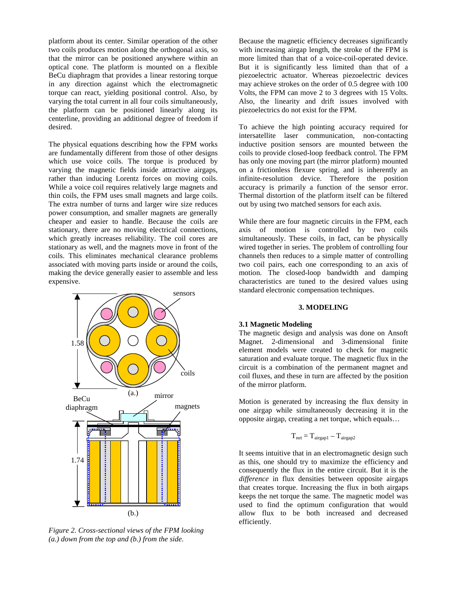platform about its center. Similar operation of the other two coils produces motion along the orthogonal axis, so that the mirror can be positioned anywhere within an optical cone. The platform is mounted on a flexible BeCu diaphragm that provides a linear restoring torque in any direction against which the electromagnetic torque can react, yielding positional control. Also, by varying the total current in all four coils simultaneously, the platform can be positioned linearly along its centerline, providing an additional degree of freedom if desired.

The physical equations describing how the FPM works are fundamentally different from those of other designs which use voice coils. The torque is produced by varying the magnetic fields inside attractive airgaps, rather than inducing Lorentz forces on moving coils. While a voice coil requires relatively large magnets and thin coils, the FPM uses small magnets and large coils. The extra number of turns and larger wire size reduces power consumption, and smaller magnets are generally cheaper and easier to handle. Because the coils are stationary, there are no moving electrical connections, which greatly increases reliability. The coil cores are stationary as well, and the magnets move in front of the coils. This eliminates mechanical clearance problems associated with moving parts inside or around the coils, making the device generally easier to assemble and less expensive.



*Figure 2. Cross-sectional views of the FPM looking (a.) down from the top and (b.) from the side.*

Because the magnetic efficiency decreases significantly with increasing airgap length, the stroke of the FPM is more limited than that of a voice-coil-operated device. But it is significantly less limited than that of a piezoelectric actuator. Whereas piezoelectric devices may achieve strokes on the order of 0.5 degree with 100 Volts, the FPM can move 2 to 3 degrees with 15 Volts. Also, the linearity and drift issues involved with piezoelectrics do not exist for the FPM.

To achieve the high pointing accuracy required for intersatellite laser communication, non-contacting inductive position sensors are mounted between the coils to provide closed-loop feedback control. The FPM has only one moving part (the mirror platform) mounted on a frictionless flexure spring, and is inherently an infinite-resolution device. Therefore the position accuracy is primarily a function of the sensor error. Thermal distortion of the platform itself can be filtered out by using two matched sensors for each axis.

While there are four magnetic circuits in the FPM, each axis of motion is controlled by two coils simultaneously. These coils, in fact, can be physically wired together in series. The problem of controlling four channels then reduces to a simple matter of controlling two coil pairs, each one corresponding to an axis of motion. The closed-loop bandwidth and damping characteristics are tuned to the desired values using standard electronic compensation techniques.

# **3. MODELING**

# **3.1 Magnetic Modeling**

The magnetic design and analysis was done on Ansoft Magnet. 2-dimensional and 3-dimensional finite element models were created to check for magnetic saturation and evaluate torque. The magnetic flux in the circuit is a combination of the permanent magnet and coil fluxes, and these in turn are affected by the position of the mirror platform.

Motion is generated by increasing the flux density in one airgap while simultaneously decreasing it in the opposite airgap, creating a net torque, which equals…

$$
T_{net} = T_{airgap1} - T_{airgap2}
$$

It seems intuitive that in an electromagnetic design such as this, one should try to maximize the efficiency and consequently the flux in the entire circuit. But it is the *difference* in flux densities between opposite airgaps that creates torque. Increasing the flux in both airgaps keeps the net torque the same. The magnetic model was used to find the optimum configuration that would allow flux to be both increased and decreased efficiently.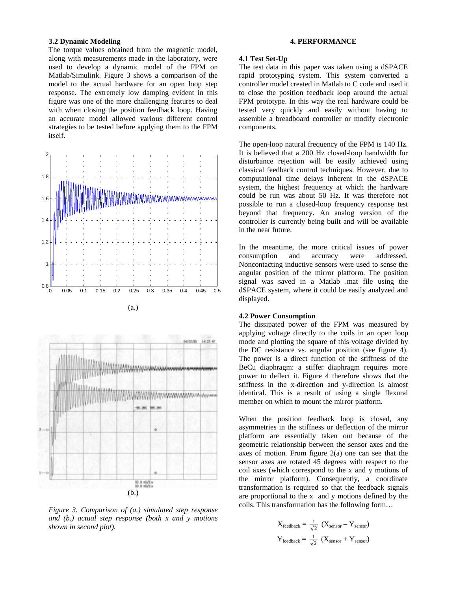#### **3.2 Dynamic Modeling**

The torque values obtained from the magnetic model, along with measurements made in the laboratory, were used to develop a dynamic model of the FPM on Matlab/Simulink. Figure 3 shows a comparison of the model to the actual hardware for an open loop step response. The extremely low damping evident in this figure was one of the more challenging features to deal with when closing the position feedback loop. Having an accurate model allowed various different control strategies to be tested before applying them to the FPM itself.



*Figure 3. Comparison of (a.) simulated step response and (b.) actual step response (both x and y motions shown in second plot).*

#### **4. PERFORMANCE**

#### **4.1 Test Set-Up**

The test data in this paper was taken using a dSPACE rapid prototyping system. This system converted a controller model created in Matlab to C code and used it to close the position feedback loop around the actual FPM prototype. In this way the real hardware could be tested very quickly and easily without having to assemble a breadboard controller or modify electronic components.

The open-loop natural frequency of the FPM is 140 Hz. It is believed that a 200 Hz closed-loop bandwidth for disturbance rejection will be easily achieved using classical feedback control techniques. However, due to computational time delays inherent in the dSPACE system, the highest frequency at which the hardware could be run was about 50 Hz. It was therefore not possible to run a closed-loop frequency response test beyond that frequency. An analog version of the controller is currently being built and will be available in the near future.

In the meantime, the more critical issues of power consumption and accuracy were addressed. Noncontacting inductive sensors were used to sense the angular position of the mirror platform. The position signal was saved in a Matlab .mat file using the dSPACE system, where it could be easily analyzed and displayed.

# **4.2 Power Consumption**

The dissipated power of the FPM was measured by applying voltage directly to the coils in an open loop mode and plotting the square of this voltage divided by the DC resistance vs. angular position (see figure 4). The power is a direct function of the stiffness of the BeCu diaphragm: a stiffer diaphragm requires more power to deflect it. Figure 4 therefore shows that the stiffness in the x-direction and y-direction is almost identical. This is a result of using a single flexural member on which to mount the mirror platform.

When the position feedback loop is closed, any asymmetries in the stiffness or deflection of the mirror platform are essentially taken out because of the geometric relationship between the sensor axes and the axes of motion. From figure 2(a) one can see that the sensor axes are rotated 45 degrees with respect to the coil axes (which correspond to the x and y motions of the mirror platform). Consequently, a coordinate transformation is required so that the feedback signals are proportional to the x and y motions defined by the coils. This transformation has the following form…

$$
X_{feedback} = \frac{1}{\sqrt{2}} (X_{sensor} - Y_{sensor})
$$

$$
Y_{feedback} = \frac{1}{\sqrt{2}} (X_{sensor} + Y_{sensor})
$$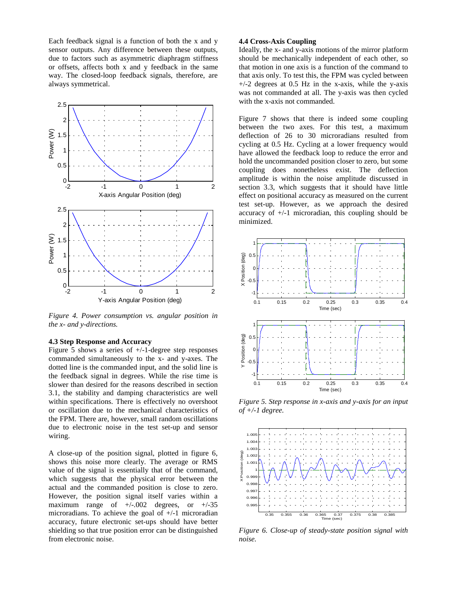Each feedback signal is a function of both the x and y sensor outputs. Any difference between these outputs, due to factors such as asymmetric diaphragm stiffness or offsets, affects both x and y feedback in the same way. The closed-loop feedback signals, therefore, are always symmetrical.



*Figure 4. Power consumption vs. angular position in the x- and y-directions.*

#### **4.3 Step Response and Accuracy**

Figure 5 shows a series of  $+/-1$ -degree step responses commanded simultaneously to the x- and y-axes. The dotted line is the commanded input, and the solid line is the feedback signal in degrees. While the rise time is slower than desired for the reasons described in section 3.1, the stability and damping characteristics are well within specifications. There is effectively no overshoot or oscillation due to the mechanical characteristics of the FPM. There are, however, small random oscillations due to electronic noise in the test set-up and sensor wiring.

A close-up of the position signal, plotted in figure 6, shows this noise more clearly. The average or RMS value of the signal is essentially that of the command, which suggests that the physical error between the actual and the commanded position is close to zero. However, the position signal itself varies within a maximum range of  $+/-002$  degrees, or  $+/-35$ microradians. To achieve the goal of +/-1 microradian accuracy, future electronic set-ups should have better shielding so that true position error can be distinguished from electronic noise.

#### **4.4 Cross-Axis Coupling**

Ideally, the x- and y-axis motions of the mirror platform should be mechanically independent of each other, so that motion in one axis is a function of the command to that axis only. To test this, the FPM was cycled between  $+/-2$  degrees at 0.5 Hz in the x-axis, while the y-axis was not commanded at all. The y-axis was then cycled with the x-axis not commanded.

Figure 7 shows that there is indeed some coupling between the two axes. For this test, a maximum deflection of 26 to 30 microradians resulted from cycling at 0.5 Hz. Cycling at a lower frequency would have allowed the feedback loop to reduce the error and hold the uncommanded position closer to zero, but some coupling does nonetheless exist. The deflection amplitude is within the noise amplitude discussed in section 3.3, which suggests that it should have little effect on positional accuracy as measured on the current test set-up. However, as we approach the desired accuracy of  $+/-1$  microradian, this coupling should be minimized.



*Figure 5. Step response in x-axis and y-axis for an input of +/-1 degree.*



*Figure 6. Close-up of steady-state position signal with noise.*